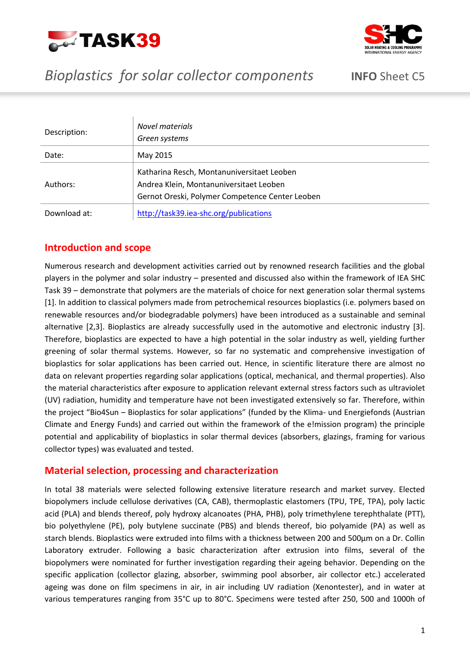



# *Bioplastics for solar collector components* **INFO** Sheet C5

| Description: | Novel materials<br>Green systems                                                                                                         |
|--------------|------------------------------------------------------------------------------------------------------------------------------------------|
| Date:        | May 2015                                                                                                                                 |
| Authors:     | Katharina Resch, Montanuniversitaet Leoben<br>Andrea Klein, Montanuniversitaet Leoben<br>Gernot Oreski, Polymer Competence Center Leoben |
| Download at: | http://task39.iea-shc.org/publications                                                                                                   |

## **Introduction and scope**

Numerous research and development activities carried out by renowned research facilities and the global players in the polymer and solar industry – presented and discussed also within the framework of IEA SHC Task 39 – demonstrate that polymers are the materials of choice for next generation solar thermal systems [1]. In addition to classical polymers made from petrochemical resources bioplastics (i.e. polymers based on renewable resources and/or biodegradable polymers) have been introduced as a sustainable and seminal alternative [2,3]. Bioplastics are already successfully used in the automotive and electronic industry [3]. Therefore, bioplastics are expected to have a high potential in the solar industry as well, yielding further greening of solar thermal systems. However, so far no systematic and comprehensive investigation of bioplastics for solar applications has been carried out. Hence, in scientific literature there are almost no data on relevant properties regarding solar applications (optical, mechanical, and thermal properties). Also the material characteristics after exposure to application relevant external stress factors such as ultraviolet (UV) radiation, humidity and temperature have not been investigated extensively so far. Therefore, within the project "Bio4Sun – Bioplastics for solar applications" (funded by the Klima- und Energiefonds (Austrian Climate and Energy Funds) and carried out within the framework of the e!mission program) the principle potential and applicability of bioplastics in solar thermal devices (absorbers, glazings, framing for various collector types) was evaluated and tested.

## **Material selection, processing and characterization**

In total 38 materials were selected following extensive literature research and market survey. Elected biopolymers include cellulose derivatives (CA, CAB), thermoplastic elastomers (TPU, TPE, TPA), poly lactic acid (PLA) and blends thereof, poly hydroxy alcanoates (PHA, PHB), poly trimethylene terephthalate (PTT), bio polyethylene (PE), poly butylene succinate (PBS) and blends thereof, bio polyamide (PA) as well as starch blends. Bioplastics were extruded into films with a thickness between 200 and 500µm on a Dr. Collin Laboratory extruder. Following a basic characterization after extrusion into films, several of the biopolymers were nominated for further investigation regarding their ageing behavior. Depending on the specific application (collector glazing, absorber, swimming pool absorber, air collector etc.) accelerated ageing was done on film specimens in air, in air including UV radiation (Xenontester), and in water at various temperatures ranging from 35°C up to 80°C. Specimens were tested after 250, 500 and 1000h of